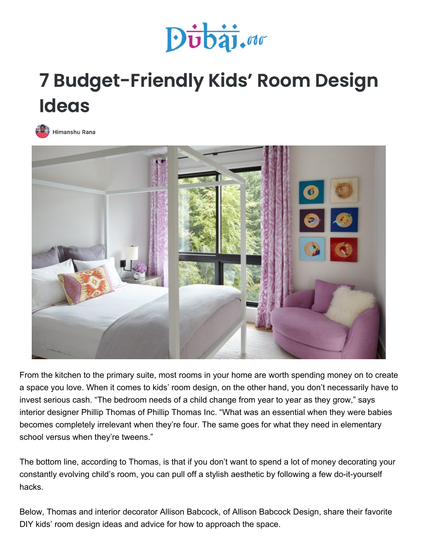

## 7 Budget-Friendly Kids' Room Design **Ideas**





From the kitchen to the primary suite, most rooms in your home are worth spending money on to create a space you love. When it comes to kids' room design, on the other hand, you don't necessarily have to invest serious cash. "The bedroom needs of a child change from year to year as they grow," says interior designer Phillip Thomas of Phillip Thomas Inc. "What was an essential when they were babies becomes completely irrelevant when they're four. The same goes for what they need in elementary school versus when they're tweens."

The bottom line, according to Thomas, is that if you don't want to spend a lot of money decorating your constantly evolving child's room, you can pull off a stylish aesthetic by following a few do-it-yourself hacks.

Below, Thomas and interior decorator Allison Babcock, of Allison Babcock Design, share their favorite DIY kids' room design ideas and advice for how to approach the space.